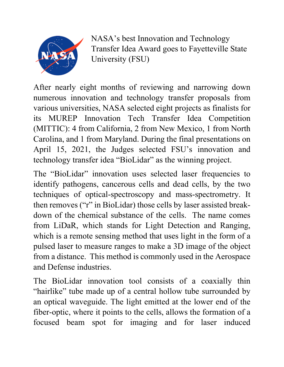

NASA's best Innovation and Technology Transfer Idea Award goes to Fayetteville State University (FSU)

After nearly eight months of reviewing and narrowing down numerous innovation and technology transfer proposals from various universities, NASA selected eight projects as finalists for its MUREP Innovation Tech Transfer Idea Competition (MITTIC): 4 from California, 2 from New Mexico, 1 from North Carolina, and 1 from Maryland. During the final presentations on April 15, 2021, the Judges selected FSU's innovation and technology transfer idea "BioLidar" as the winning project.

The "BioLidar" innovation uses selected laser frequencies to identify pathogens, cancerous cells and dead cells, by the two techniques of optical-spectroscopy and mass-spectrometry. It then removes ("r" in BioLidar) those cells by laser assisted breakdown of the chemical substance of the cells. The name comes from LiDaR, which stands for Light Detection and Ranging, which is a remote sensing method that uses light in the form of a pulsed laser to measure ranges to make a 3D image of the object from a distance. This method is commonly used in the Aerospace and Defense industries.

The BioLidar innovation tool consists of a coaxially thin "hairlike" tube made up of a central hollow tube surrounded by an optical waveguide. The light emitted at the lower end of the fiber-optic, where it points to the cells, allows the formation of a focused beam spot for imaging and for laser induced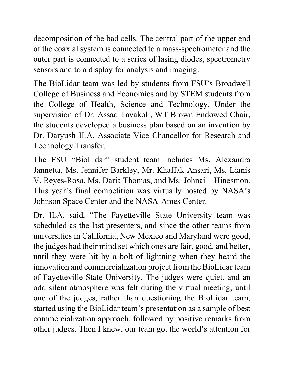decomposition of the bad cells. The central part of the upper end of the coaxial system is connected to a mass-spectrometer and the outer part is connected to a series of lasing diodes, spectrometry sensors and to a display for analysis and imaging.

The BioLidar team was led by students from FSU's Broadwell College of Business and Economics and by STEM students from the College of Health, Science and Technology. Under the supervision of Dr. Assad Tavakoli, WT Brown Endowed Chair, the students developed a business plan based on an invention by Dr. Daryush ILA, Associate Vice Chancellor for Research and Technology Transfer.

The FSU "BioLidar" student team includes Ms. Alexandra Jannetta, Ms. Jennifer Barkley, Mr. Khaffak Ansari, Ms. Lianis V. Reyes-Rosa, Ms. Daria Thomas, and Ms. Johnai Hinesmon. This year's final competition was virtually hosted by NASA's Johnson Space Center and the NASA-Ames Center.

Dr. ILA, said, "The Fayetteville State University team was scheduled as the last presenters, and since the other teams from universities in California, New Mexico and Maryland were good, the judges had their mind set which ones are fair, good, and better, until they were hit by a bolt of lightning when they heard the innovation and commercialization project from the BioLidar team of Fayetteville State University. The judges were quiet, and an odd silent atmosphere was felt during the virtual meeting, until one of the judges, rather than questioning the BioLidar team, started using the BioLidar team's presentation as a sample of best commercialization approach, followed by positive remarks from other judges. Then I knew, our team got the world's attention for